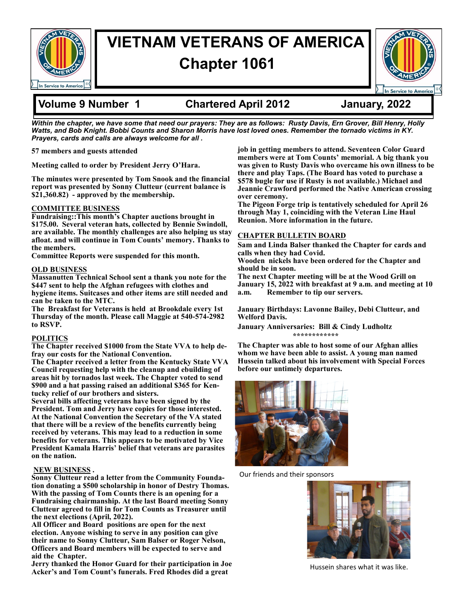

# **VIETNAM VETERANS OF AMERICA Chapter 1061**



## **Volume 9 Number 1 Chartered April 2012 January, 2022**

*Within the chapter, we have some that need our prayers: They are as follows: Rusty Davis, Ern Grover, Bill Henry, Holly Watts, and Bob Knight. Bobbi Counts and Sharon Morris have lost loved ones. Remember the tornado victims in KY. Prayers, cards and calls are always welcome for all .*

**57 members and guests attended**

**Meeting called to order by President Jerry O'Hara.** 

**The minutes were presented by Tom Snook and the financial report was presented by Sonny Clutteur (current balance is \$21,360.82) - approved by the membership.** 

### **COMMITTEE BUSINESS**

**Fundraising::This month's Chapter auctions brought in \$175.00. Several veteran hats, collected by Bennie Swindoll, are available. The monthly challenges are also helping us stay afloat. and will continue in Tom Counts' memory. Thanks to the members.** 

**Committee Reports were suspended for this month.** 

#### **OLD BUSINESS**

**Massanutten Technical School sent a thank you note for the \$447 sent to help the Afghan refugees with clothes and hygiene items. Suitcases and other items are still needed and can be taken to the MTC.** 

**The Breakfast for Veterans is held at Brookdale every 1st Thursday of the month. Please call Maggie at 540-574-2982 to RSVP.** 

#### **POLITICS**

**The Chapter received \$1000 from the State VVA to help defray our costs for the National Convention.** 

**The Chapter received a letter from the Kentucky State VVA Council requesting help with the cleanup and ebuilding of areas hit by tornados last week. The Chapter voted to send \$900 and a hat passing raised an additional \$365 for Kentucky relief of our brothers and sisters.** 

**Several bills affecting veterans have been signed by the President. Tom and Jerry have copies for those interested. At the National Convention the Secretary of the VA stated that there will be a review of the benefits currently being received by veterans. This may lead to a reduction in some benefits for veterans. This appears to be motivated by Vice President Kamala Harris' belief that veterans are parasites on the nation.**

### **NEW BUSINESS .**

**Sonny Clutteur read a letter from the Community Foundation donating a \$500 scholarship in honor of Destry Thomas. With the passing of Tom Counts there is an opening for a Fundraising chairmanship. At the last Board meeting Sonny Clutteur agreed to fill in for Tom Counts as Treasurer until the next elections (April, 2022).** 

**All Officer and Board positions are open for the next election. Anyone wishing to serve in any position can give their name to Sonny Clutteur, Sam Balser or Roger Nelson, Officers and Board members will be expected to serve and aid the Chapter.** 

**Jerry thanked the Honor Guard for their participation in Joe Acker's and Tom Count's funerals. Fred Rhodes did a great** 

**job in getting members to attend. Seventeen Color Guard members were at Tom Counts' memorial. A big thank you was given to Rusty Davis who overcame his own illness to be there and play Taps. (The Board has voted to purchase a \$578 bugle for use if Rusty is not available.) Michael and Jeannie Crawford performed the Native American crossing over ceremony.** 

**The Pigeon Forge trip is tentatively scheduled for April 26 through May 1, coinciding with the Veteran Line Haul Reunion. More information in the future.** 

### **CHAPTER BULLETIN BOARD**

**Sam and Linda Balser thanked the Chapter for cards and calls when they had Covid.** 

**Wooden nickels have been ordered for the Chapter and should be in soon.** 

**The next Chapter meeting will be at the Wood Grill on January 15, 2022 with breakfast at 9 a.m. and meeting at 10 a.m. Remember to tip our servers.** 

**January Birthdays: Lavonne Bailey, Debi Clutteur, and Welford Davis.** 

**January Anniversaries: Bill & Cindy Ludholtz \*\*\*\*\*\*\*\*\*\*\*\***

**The Chapter was able to host some of our Afghan allies whom we have been able to assist. A young man named Hussein talked about his involvement with Special Forces before our untimely departures.** 



Our friends and their sponsors



Hussein shares what it was like.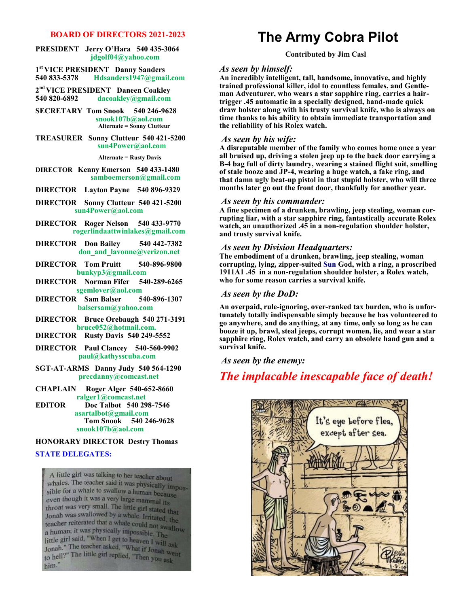#### **BOARD OF DIRECTORS 2021-2023**

#### **PRESIDENT Jerry O'Hara 540 435-3064 jdgolf04@yahoo.com**

**1 st VICE PRESIDENT Danny Sanders 540 833-5378 Hdsanders1947@gmail.com**

**2 nd VICE PRESIDENT Daneen Coakley 540 820-6892 dacoakley@gmail.com**

**SECRETARY Tom Snook 540 246-9628 snook107b@aol.com Alternate = Sonny Clutteur** 

#### **TREASURER Sonny Clutteur 540 421-5200 sun4Power@aol.com**

#### **Alternate = Rusty Davis**

#### **DIRECTOR Kenny Emerson 540 433-1480 samboemerson@gmail.com**

- **DIRECTOR Layton Payne 540 896-9329**
- **DIRECTOR Sonny Clutteur 540 421-5200 sun4Power@aol.com**
- **DIRECTOR Roger Nelson 540 433-9770 rogerlindaattwinlakes@gmail.com**
- **DIRECTOR Don Bailey 540 442-7382 don\_and\_lavonne@verizon.net**
- **DIRECTOR Tom Pruitt 540-896-9800 bunkyp3@gmail.com**
- **DIRECTOR Norman Fifer 540-289-6265 sgemlover@aol.com**
- **DIRECTOR Sam Balser 540-896-1307 balsersam@yahoo.com**
- **DIRECTOR Bruce Orebaugh 540 271-3191 bruce052@hotmail.com.**
- **DIRECTOR Rusty Davis 540 249-5552**
- **DIRECTOR Paul Clancey 540-560-9902 paul@kathysscuba.com**
- **SGT-AT-ARMS Danny Judy 540 564-1290 precdanny@comcast.net**
- **CHAPLAIN Roger Alger 540-652-8660 ralger1@comcast.net**<br>**EDITOR** Doc Talbot 540 29
- **EDOC Talbot 540 298-7546 asartalbot@gmail.com Tom Snook 540 246-9628 snook107b@aol.com**

#### **HONORARY DIRECTOR Destry Thomas**

#### **STATE DELEGATES:**

A little girl was talking to her teacher about Whales. The teacher said it was physically impos-<br>whales. The teacher said it was physically impossible for a whale to swallow a human because even though it was a very large mammal its throat was very small. The little girl stated that throat was very small. The little girl stated that<br>Jonah was swallowed by a whale. Irritated, the Jonah was swanowed by a whale. Irritated, the<br>teacher reiterated that a whale could not swallow a human; it was physically impossible. The a human, it was physically impossible. The<br>little girl said, "When I get to heaven I will ask Jonah." The teacher asked, "What if Jonah went<br>Jonah." The teacher asked, "What if Jonah went to hell?" The little girl replied, "Then you ask him."

## **The Army Cobra Pilot**

#### **Contributed by Jim Casl**

#### *As seen by himself:*

**An incredibly intelligent, tall, handsome, innovative, and highly trained professional killer, idol to countless females, and Gentleman Adventurer, who wears a star sapphire ring, carries a hairtrigger .45 automatic in a specially designed, hand-made quick draw holster along with his trusty survival knife, who is always on time thanks to his ability to obtain immediate transportation and the reliability of his Rolex watch.**

#### *As seen by his wife:*

**A disreputable member of the family who comes home once a year all bruised up, driving a stolen jeep up to the back door carrying a B-4 bag full of dirty laundry, wearing a stained flight suit, smelling of stale booze and JP-4, wearing a huge watch, a fake ring, and that damn ugly beat-up pistol in that stupid holster, who will three months later go out the front door, thankfully for another year.**

#### *As seen by his commander:*

**A fine specimen of a drunken, brawling, jeep stealing, woman corrupting liar, with a star sapphire ring, fantastically accurate Rolex watch, an unauthorized .45 in a non-regulation shoulder holster, and trusty survival knife.**

#### *As seen by Division Headquarters:*

**The embodiment of a drunken, brawling, jeep stealing, woman corrupting, lying, zipper-suited Sun God, with a ring, a proscribed 1911A1 .45 in a non-regulation shoulder holster, a Rolex watch, who for some reason carries a survival knife.**

#### *As seen by the DoD:*

**An overpaid, rule-ignoring, over-ranked tax burden, who is unfortunately totally indispensable simply because he has volunteered to go anywhere, and do anything, at any time, only so long as he can booze it up, brawl, steal jeeps, corrupt women, lie, and wear a star sapphire ring, Rolex watch, and carry an obsolete hand gun and a survival knife.**

*As seen by the enemy:*

## *The implacable inescapable face of death!*

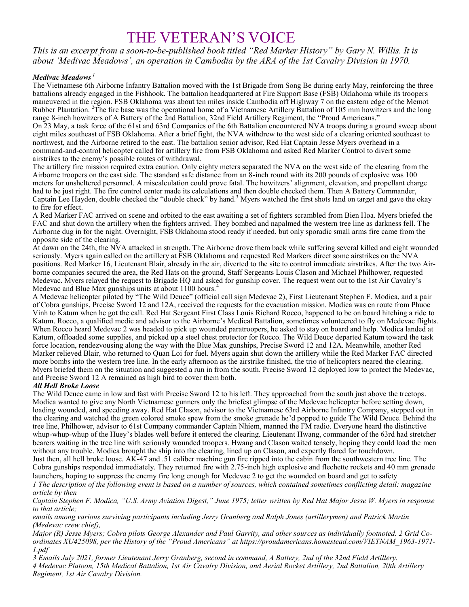# THE VETERAN'S VOICE

*This is an excerpt from a soon-to-be-published book titled "Red Marker History" by Gary N. Willis. It is about 'Medivac Meadows', an operation in Cambodia by the ARA of the 1st Cavalry Division in 1970.* 

#### *Medivac Meadows <sup>1</sup>*

The Vietnamese 6th Airborne Infantry Battalion moved with the 1st Brigade from Song Be during early May, reinforcing the three battalions already engaged in the Fishhook. The battalion headquartered at Fire Support Base (FSB) Oklahoma while its troopers maneuvered in the region. FSB Oklahoma was about ten miles inside Cambodia off Highway 7 on the eastern edge of the Memot Rubber Plantation. <sup>2</sup>The fire base was the operational home of a Vietnamese Artillery Battalion of 105 mm howitzers and the long range 8-inch howitzers of A Battery of the 2nd Battalion, 32nd Field Artillery Regiment, the "Proud Americans." On 23 May, a task force of the 61st and 63rd Companies of the 6th Battalion encountered NVA troops during a ground sweep about eight miles southeast of FSB Oklahoma. After a brief fight, the NVA withdrew to the west side of a clearing oriented southeast to northwest, and the Airborne retired to the east. The battalion senior advisor, Red Hat Captain Jesse Myers overhead in a command-and-control helicopter called for artillery fire from FSB Oklahoma and asked Red Marker Control to divert some airstrikes to the enemy's possible routes of withdrawal.

The artillery fire mission required extra caution. Only eighty meters separated the NVA on the west side of the clearing from the Airborne troopers on the east side. The standard safe distance from an 8-inch round with its 200 pounds of explosive was 100 meters for unsheltered personnel. A miscalculation could prove fatal. The howitzers' alignment, elevation, and propellant charge had to be just right. The fire control center made its calculations and then double checked them. Then A Battery Commander, Captain Lee Hayden, double checked the "double check" by hand.<sup>3</sup> Myers watched the first shots land on target and gave the okay to fire for effect.

A Red Marker FAC arrived on scene and orbited to the east awaiting a set of fighters scrambled from Bien Hoa. Myers briefed the FAC and shut down the artillery when the fighters arrived. They bombed and napalmed the western tree line as darkness fell. The Airborne dug in for the night. Overnight, FSB Oklahoma stood ready if needed, but only sporadic small arms fire came from the opposite side of the clearing.

At dawn on the 24th, the NVA attacked in strength. The Airborne drove them back while suffering several killed and eight wounded seriously. Myers again called on the artillery at FSB Oklahoma and requested Red Markers direct some airstrikes on the NVA positions. Red Marker 16, Lieutenant Blair, already in the air, diverted to the site to control immediate airstrikes. After the two Airborne companies secured the area, the Red Hats on the ground, Staff Sergeants Louis Clason and Michael Philhower, requested Medevac. Myers relayed the request to Brigade HQ and asked for gunship cover. The request went out to the 1st Air Cavalry's Medevac and Blue Max gunships units at about  $1100$  hours.<sup>4</sup>

A Medevac helicopter piloted by "The Wild Deuce" (official call sign Medevac 2), First Lieutenant Stephen F. Modica, and a pair of Cobra gunships, Precise Sword 12 and 12A, received the requests for the evacuation mission. Modica was en route from Phuoc Vinh to Katum when he got the call. Red Hat Sergeant First Class Louis Richard Rocco, happened to be on board hitching a ride to Katum. Rocco, a qualified medic and advisor to the Airborne's Medical Battalion, sometimes volunteered to fly on Medevac flights. When Rocco heard Medevac 2 was headed to pick up wounded paratroopers, he asked to stay on board and help. Modica landed at Katum, offloaded some supplies, and picked up a steel chest protector for Rocco. The Wild Deuce departed Katum toward the task force location, rendezvousing along the way with the Blue Max gunships, Precise Sword 12 and 12A. Meanwhile, another Red Marker relieved Blair, who returned to Quan Loi for fuel. Myers again shut down the artillery while the Red Marker FAC directed more bombs into the western tree line. In the early afternoon as the airstrike finished, the trio of helicopters neared the clearing. Myers briefed them on the situation and suggested a run in from the south. Precise Sword 12 deployed low to protect the Medevac, and Precise Sword 12 A remained as high bird to cover them both.

### *All Hell Broke Loose*

The Wild Deuce came in low and fast with Precise Sword 12 to his left. They approached from the south just above the treetops. Modica wanted to give any North Vietnamese gunners only the briefest glimpse of the Medevac helicopter before setting down, loading wounded, and speeding away. Red Hat Clason, advisor to the Vietnamese 63rd Airborne Infantry Company, stepped out in the clearing and watched the green colored smoke spew from the smoke grenade he'd popped to guide The Wild Deuce. Behind the tree line, Philhower, advisor to 61st Company commander Captain Nhiem, manned the FM radio. Everyone heard the distinctive whup-whup-whup of the Huey's blades well before it entered the clearing. Lieutenant Hwang, commander of the 63rd had stretcher bearers waiting in the tree line with seriously wounded troopers. Hwang and Clason waited tensely, hoping they could load the men without any trouble. Modica brought the ship into the clearing, lined up on Clason, and expertly flared for touchdown.

Just then, all hell broke loose. AK-47 and .51 caliber machine gun fire ripped into the cabin from the southwestern tree line. The Cobra gunships responded immediately. They returned fire with 2.75-inch high explosive and flechette rockets and 40 mm grenade launchers, hoping to suppress the enemy fire long enough for Medevac 2 to get the wounded on board and get to safety

*1 The description of the following event is based on a number of sources, which contained sometimes conflicting detail: magazine article by then*

*Captain Stephen F. Modica, "U.S. Army Aviation Digest," June 1975; letter written by Red Hat Major Jesse W. Myers in response to that article;*

*emails among various surviving participants including Jerry Granberg and Ralph Jones (artillerymen) and Patrick Martin (Medevac crew chief),*

*Major (R) Jesse Myers; Cobra pilots George Alexander and Paul Garrity, and other sources as individually footnoted. 2 Grid Coordinates XU425098, per the History of the "Proud Americans" at https://proudamericans.homestead.com/VIETNAM\_1963-1971- 1.pdf*

*3 Emails July 2021, former Lieutenant Jerry Granberg, second in command, A Battery, 2nd of the 32nd Field Artillery. 4 Medevac Platoon, 15th Medical Battalion, 1st Air Cavalry Division, and Aerial Rocket Artillery, 2nd Battalion, 20th Artillery Regiment, 1st Air Cavalry Division.*